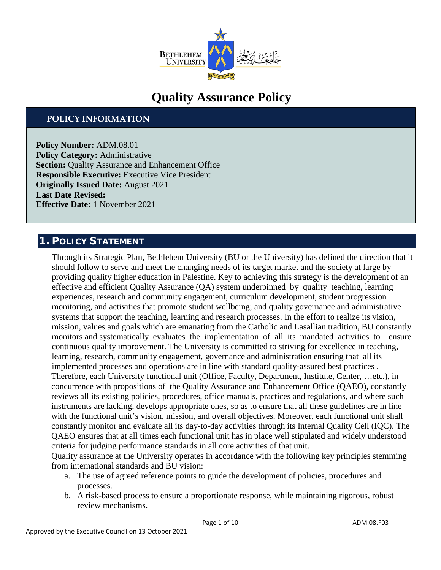

# **Quality Assurance Policy**

## **POLICY INFORMATION**

**Policy Number:** ADM.08.01 **Policy Category: Administrative Section:** Quality Assurance and Enhancement Office **Responsible Executive:** Executive Vice President **Originally Issued Date:** August 2021 **Last Date Revised: Effective Date:** 1 November 2021

## **1. POLICY STATEMENT**

Through its Strategic Plan, Bethlehem University (BU or the University) has defined the direction that it should follow to serve and meet the changing needs of its target market and the society at large by providing quality higher education in Palestine. Key to achieving this strategy is the development of an effective and efficient Quality Assurance (QA) system underpinned by quality teaching, learning experiences, research and community engagement, curriculum development, student progression monitoring, and activities that promote student wellbeing; and quality governance and administrative systems that support the teaching, learning and research processes. In the effort to realize its vision, mission, values and goals which are emanating from the Catholic and Lasallian tradition, BU constantly monitors and systematically evaluates the implementation of all its mandated activities to ensure continuous quality improvement. The University is committed to striving for excellence in teaching, learning, research, community engagement, governance and administration ensuring that all its implemented processes and operations are in line with standard quality-assured best practices . Therefore, each University functional unit (Office, Faculty, Department, Institute, Center, …etc.), in concurrence with propositions of the Quality Assurance and Enhancement Office (QAEO), constantly reviews all its existing policies, procedures, office manuals, practices and regulations, and where such instruments are lacking, develops appropriate ones, so as to ensure that all these guidelines are in line with the functional unit's vision, mission, and overall objectives. Moreover, each functional unit shall constantly monitor and evaluate all its day-to-day activities through its Internal Quality Cell (IQC). The QAEO ensures that at all times each functional unit has in place well stipulated and widely understood criteria for judging performance standards in all core activities of that unit.

Quality assurance at the University operates in accordance with the following key principles stemming from international standards and BU vision:

- a. The use of agreed reference points to guide the development of policies, procedures and processes.
- b. A risk-based process to ensure a proportionate response, while maintaining rigorous, robust review mechanisms.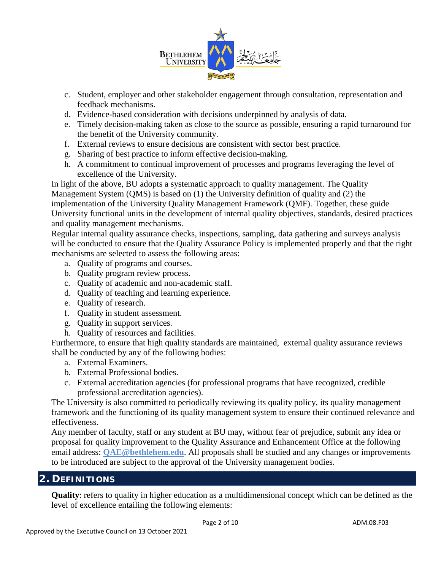

- c. Student, employer and other stakeholder engagement through consultation, representation and feedback mechanisms.
- d. Evidence-based consideration with decisions underpinned by analysis of data.
- e. Timely decision-making taken as close to the source as possible, ensuring a rapid turnaround for the benefit of the University community.
- f. External reviews to ensure decisions are consistent with sector best practice.
- g. Sharing of best practice to inform effective decision-making.
- h. A commitment to continual improvement of processes and programs leveraging the level of excellence of the University.

In light of the above, BU adopts a systematic approach to quality management. The Quality Management System (QMS) is based on (1) the University definition of quality and (2) the implementation of the University Quality Management Framework (QMF). Together, these guide University functional units in the development of internal quality objectives, standards, desired practices and quality management mechanisms.

Regular internal quality assurance checks, inspections, sampling, data gathering and surveys analysis will be conducted to ensure that the Quality Assurance Policy is implemented properly and that the right mechanisms are selected to assess the following areas:

- a. Quality of programs and courses.
- b. Quality program review process.
- c. Quality of academic and non-academic staff.
- d. Quality of teaching and learning experience.
- e. Quality of research.
- f. Quality in student assessment.
- g. Quality in support services.
- h. Quality of resources and facilities.

Furthermore, to ensure that high quality standards are maintained, external quality assurance reviews shall be conducted by any of the following bodies:

- a. External Examiners.
- b. External Professional bodies.
- c. External accreditation agencies (for professional programs that have recognized, credible professional accreditation agencies).

The University is also committed to periodically reviewing its quality policy, its quality management framework and the functioning of its quality management system to ensure their continued relevance and effectiveness.

Any member of faculty, staff or any student at BU may, without fear of prejudice, submit any idea or proposal for quality improvement to the Quality Assurance and Enhancement Office at the following email address: **QAE@bethlehem.edu**. All proposals shall be studied and any changes or improvements to be introduced are subject to the approval of the University management bodies.

## **2. DEFINITIONS**

**Quality**: refers to quality in higher education as a multidimensional concept which can be defined as the level of excellence entailing the following elements: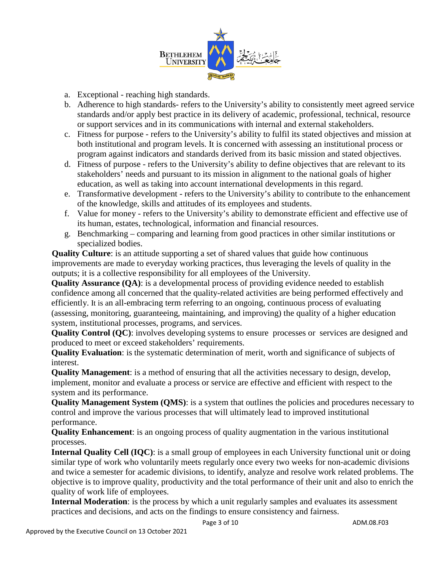

- a. Exceptional reaching high standards.
- b. Adherence to high standards- refers to the University's ability to consistently meet agreed service standards and/or apply best practice in its delivery of academic, professional, technical, resource or support services and in its communications with internal and external stakeholders.
- c. Fitness for purpose refers to the University's ability to fulfil its stated objectives and mission at both institutional and program levels. It is concerned with assessing an institutional process or program against indicators and standards derived from its basic mission and stated objectives.
- d. Fitness of purpose refers to the University's ability to define objectives that are relevant to its stakeholders' needs and pursuant to its mission in alignment to the national goals of higher education, as well as taking into account international developments in this regard.
- e. Transformative development refers to the University's ability to contribute to the enhancement of the knowledge, skills and attitudes of its employees and students.
- f. Value for money refers to the University's ability to demonstrate efficient and effective use of its human, estates, technological, information and financial resources.
- g. Benchmarking comparing and learning from good practices in other similar institutions or specialized bodies.

**Quality Culture**: is an attitude supporting a set of shared values that guide how continuous improvements are made to everyday working practices, thus leveraging the levels of quality in the outputs; it is a collective responsibility for all employees of the University.

**Quality Assurance (QA)**: is a developmental process of providing evidence needed to establish confidence among all concerned that the quality-related activities are being performed effectively and efficiently. It is an all-embracing term referring to an ongoing, continuous process of evaluating (assessing, monitoring, guaranteeing, maintaining, and improving) the quality of a higher education system, institutional processes, programs, and services.

**Quality Control (QC)**: involves developing systems to ensure processes or services are designed and produced to meet or exceed stakeholders' requirements.

**Quality Evaluation**: is the systematic determination of merit, worth and significance of subjects of interest.

**Quality Management**: is a method of ensuring that all the activities necessary to design, develop, implement, monitor and evaluate a process or service are effective and efficient with respect to the system and its performance.

**Quality Management System (QMS)**: is a system that outlines the policies and procedures necessary to control and improve the various processes that will ultimately lead to improved institutional performance.

**Quality Enhancement**: is an ongoing process of quality augmentation in the various institutional processes.

**Internal Quality Cell (IQC)**: is a small group of employees in each University functional unit or doing similar type of work who voluntarily meets regularly once every two weeks for non-academic divisions and twice a semester for academic divisions, to identify, analyze and resolve work related problems. The objective is to improve quality, productivity and the total performance of their unit and also to enrich the quality of work life of employees.

**Internal Moderation**: is the process by which a unit regularly samples and evaluates its assessment practices and decisions, and acts on the findings to ensure consistency and fairness.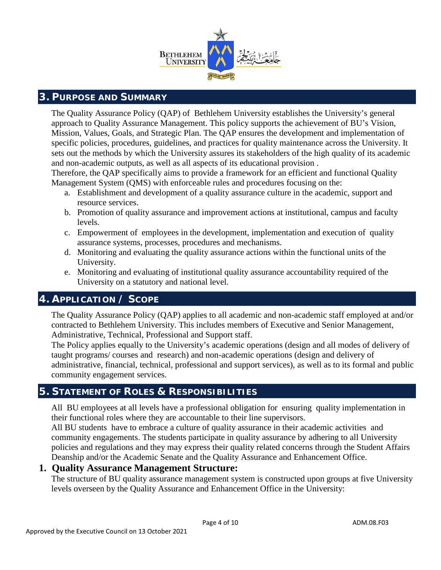

## **3. PURPOSE AND SUMMARY**

The Quality Assurance Policy (QAP) of Bethlehem University establishes the University's general approach to Quality Assurance Management. This policy supports the achievement of BU's Vision, Mission, Values, Goals, and Strategic Plan. The QAP ensures the development and implementation of specific policies, procedures, guidelines, and practices for quality maintenance across the University. It sets out the methods by which the University assures its stakeholders of the high quality of its academic and non-academic outputs, as well as all aspects of its educational provision .

Therefore, the QAP specifically aims to provide a framework for an efficient and functional Quality Management System (QMS) with enforceable rules and procedures focusing on the:

- a. Establishment and development of a quality assurance culture in the academic, support and resource services.
- b. Promotion of quality assurance and improvement actions at institutional, campus and faculty levels.
- c. Empowerment of employees in the development, implementation and execution of quality assurance systems, processes, procedures and mechanisms.
- d. Monitoring and evaluating the quality assurance actions within the functional units of the University.
- e. Monitoring and evaluating of institutional quality assurance accountability required of the University on a statutory and national level.

## **4. APPLICATION / SCOPE**

The Quality Assurance Policy (QAP) applies to all academic and non-academic staff employed at and/or contracted to Bethlehem University. This includes members of Executive and Senior Management, Administrative, Technical, Professional and Support staff.

The Policy applies equally to the University's academic operations (design and all modes of delivery of taught programs/ courses and research) and non-academic operations (design and delivery of administrative, financial, technical, professional and support services), as well as to its formal and public community engagement services.

## **5. STATEMENT OF ROLES & RESPONSIBILITIES**

All BU employees at all levels have a professional obligation for ensuring quality implementation in their functional roles where they are accountable to their line supervisors.

All BU students have to embrace a culture of quality assurance in their academic activities and community engagements. The students participate in quality assurance by adhering to all University policies and regulations and they may express their quality related concerns through the Student Affairs Deanship and/or the Academic Senate and the Quality Assurance and Enhancement Office.

## **1. Quality Assurance Management Structure:**

The structure of BU quality assurance management system is constructed upon groups at five University levels overseen by the Quality Assurance and Enhancement Office in the University: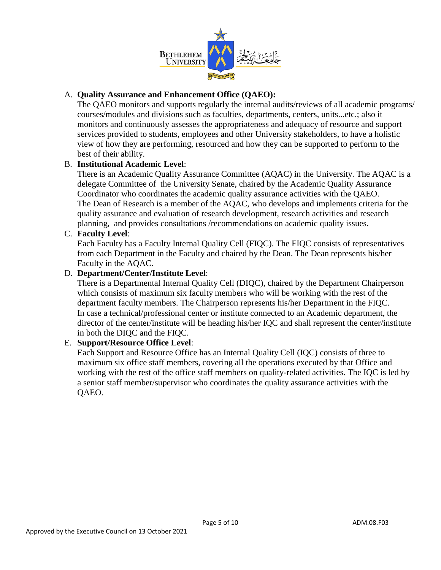

## A. **Quality Assurance and Enhancement Office (QAEO):**

The QAEO monitors and supports regularly the internal audits/reviews of all academic programs/ courses/modules and divisions such as faculties, departments, centers, units...etc.; also it monitors and continuously assesses the appropriateness and adequacy of resource and support services provided to students, employees and other University stakeholders, to have a holistic view of how they are performing, resourced and how they can be supported to perform to the best of their ability.

#### B. **Institutional Academic Level**:

There is an Academic Quality Assurance Committee (AQAC) in the University. The AQAC is a delegate Committee of the University Senate, chaired by the Academic Quality Assurance Coordinator who coordinates the academic quality assurance activities with the QAEO. The Dean of Research is a member of the AQAC, who develops and implements criteria for the quality assurance and evaluation of research development, research activities and research planning, and provides consultations /recommendations on academic quality issues.

#### C. **Faculty Level**:

Each Faculty has a Faculty Internal Quality Cell (FIQC). The FIQC consists of representatives from each Department in the Faculty and chaired by the Dean. The Dean represents his/her Faculty in the AQAC.

#### D. **Department/Center/Institute Level**:

There is a Departmental Internal Quality Cell (DIQC), chaired by the Department Chairperson which consists of maximum six faculty members who will be working with the rest of the department faculty members. The Chairperson represents his/her Department in the FIQC. In case a technical/professional center or institute connected to an Academic department, the director of the center/institute will be heading his/her IQC and shall represent the center/institute in both the DIQC and the FIQC.

## E. **Support/Resource Office Level**:

Each Support and Resource Office has an Internal Quality Cell (IQC) consists of three to maximum six office staff members, covering all the operations executed by that Office and working with the rest of the office staff members on quality-related activities. The IQC is led by a senior staff member/supervisor who coordinates the quality assurance activities with the QAEO.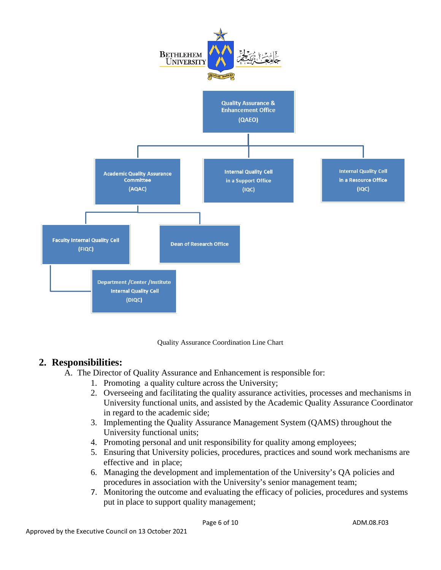

Quality Assurance Coordination Line Chart

## **2. Responsibilities:**

- A. The Director of Quality Assurance and Enhancement is responsible for:
	- 1. Promoting a quality culture across the University;
	- 2. Overseeing and facilitating the quality assurance activities, processes and mechanisms in University functional units, and assisted by the Academic Quality Assurance Coordinator in regard to the academic side;
	- 3. Implementing the Quality Assurance Management System (QAMS) throughout the University functional units;
	- 4. Promoting personal and unit responsibility for quality among employees;
	- 5. Ensuring that University policies, procedures, practices and sound work mechanisms are effective and in place;
	- 6. Managing the development and implementation of the University's QA policies and procedures in association with the University's senior management team;
	- 7. Monitoring the outcome and evaluating the efficacy of policies, procedures and systems put in place to support quality management;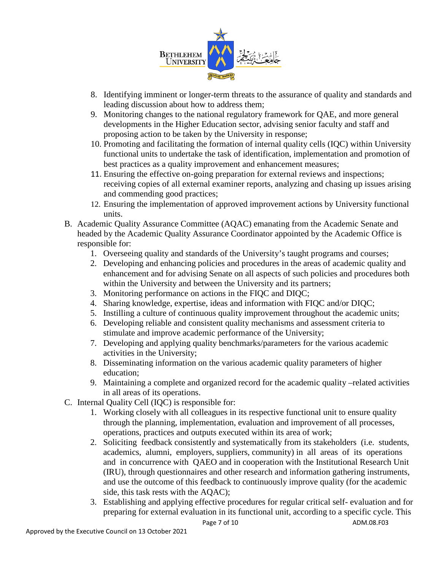

- 8. Identifying imminent or longer-term threats to the assurance of quality and standards and leading discussion about how to address them;
- 9. Monitoring changes to the national regulatory framework for QAE, and more general developments in the Higher Education sector, advising senior faculty and staff and proposing action to be taken by the University in response;
- 10. Promoting and facilitating the formation of internal quality cells (IQC) within University functional units to undertake the task of identification, implementation and promotion of best practices as a quality improvement and enhancement measures;
- 11. Ensuring the effective on-going preparation for external reviews and inspections; receiving copies of all external examiner reports, analyzing and chasing up issues arising and commending good practices;
- 12. Ensuring the implementation of approved improvement actions by University functional units.
- B. Academic Quality Assurance Committee (AQAC) emanating from the Academic Senate and headed by the Academic Quality Assurance Coordinator appointed by the Academic Office is responsible for:
	- 1. Overseeing quality and standards of the University's taught programs and courses;
	- 2. Developing and enhancing policies and procedures in the areas of academic quality and enhancement and for advising Senate on all aspects of such policies and procedures both within the University and between the University and its partners;
	- 3. Monitoring performance on actions in the FIQC and DIQC;
	- 4. Sharing knowledge, expertise, ideas and information with FIQC and/or DIQC;
	- 5. Instilling a culture of continuous quality improvement throughout the academic units;
	- 6. Developing reliable and consistent quality mechanisms and assessment criteria to stimulate and improve academic performance of the University;
	- 7. Developing and applying quality benchmarks/parameters for the various academic activities in the University;
	- 8. Disseminating information on the various academic quality parameters of higher education;
	- 9. Maintaining a complete and organized record for the academic quality –related activities in all areas of its operations.
- C. Internal Quality Cell (IQC) is responsible for:
	- 1. Working closely with all colleagues in its respective functional unit to ensure quality through the planning, implementation, evaluation and improvement of all processes, operations, practices and outputs executed within its area of work;
	- 2. Soliciting feedback consistently and systematically from its stakeholders (i.e. students, academics, alumni, employers, suppliers, community) in all areas of its operations and in concurrence with QAEO and in cooperation with the Institutional Research Unit (IRU), through questionnaires and other research and information gathering instruments, and use the outcome of this feedback to continuously improve quality (for the academic side, this task rests with the AQAC);
	- 3. Establishing and applying effective procedures for regular critical self- evaluation and for preparing for external evaluation in its functional unit, according to a specific cycle. This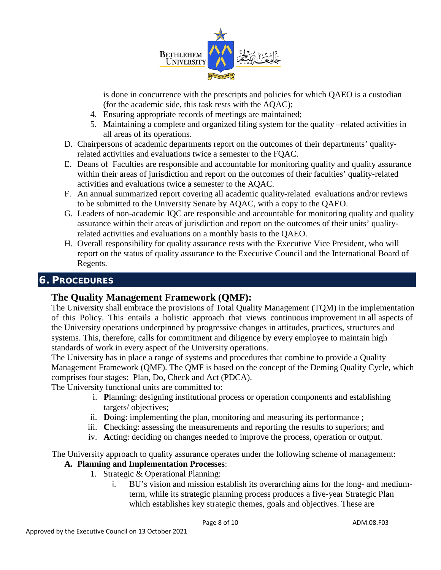

is done in concurrence with the prescripts and policies for which QAEO is a custodian (for the academic side, this task rests with the AQAC);

- 4. Ensuring appropriate records of meetings are maintained;
- 5. Maintaining a complete and organized filing system for the quality –related activities in all areas of its operations.
- D. Chairpersons of academic departments report on the outcomes of their departments' qualityrelated activities and evaluations twice a semester to the FQAC.
- E. Deans of Faculties are responsible and accountable for monitoring quality and quality assurance within their areas of jurisdiction and report on the outcomes of their faculties' quality-related activities and evaluations twice a semester to the AQAC.
- F. An annual summarized report covering all academic quality-related evaluations and/or reviews to be submitted to the University Senate by AQAC, with a copy to the QAEO.
- G. Leaders of non-academic IQC are responsible and accountable for monitoring quality and quality assurance within their areas of jurisdiction and report on the outcomes of their units' qualityrelated activities and evaluations on a monthly basis to the QAEO.
- H. Overall responsibility for quality assurance rests with the Executive Vice President, who will report on the status of quality assurance to the Executive Council and the International Board of Regents.

# **6. PROCEDURES**

## **The Quality Management Framework (QMF):**

The University shall embrace the provisions of Total Quality Management (TQM) in the implementation of this Policy. This entails a holistic approach that views continuous improvement in all aspects of the University operations underpinned by progressive changes in attitudes, practices, structures and systems. This, therefore, calls for commitment and diligence by every employee to maintain high standards of work in every aspect of the University operations.

The University has in place a range of systems and procedures that combine to provide a Quality Management Framework (QMF). The QMF is based on the concept of the Deming Quality Cycle, which comprises four stages: Plan, Do, Check and Act (PDCA).

The University functional units are committed to:

- i. **P**lanning: designing institutional process or operation components and establishing targets/ objectives;
- ii. **D**oing: implementing the plan, monitoring and measuring its performance ;
- iii. **C**hecking: assessing the measurements and reporting the results to superiors; and
- iv. **A**cting: deciding on changes needed to improve the process, operation or output.

The University approach to quality assurance operates under the following scheme of management:

## **A. Planning and Implementation Processes**:

- 1. Strategic & Operational Planning:
	- i. BU's vision and mission establish its overarching aims for the long- and mediumterm, while its strategic planning process produces a five-year Strategic Plan which establishes key strategic themes, goals and objectives. These are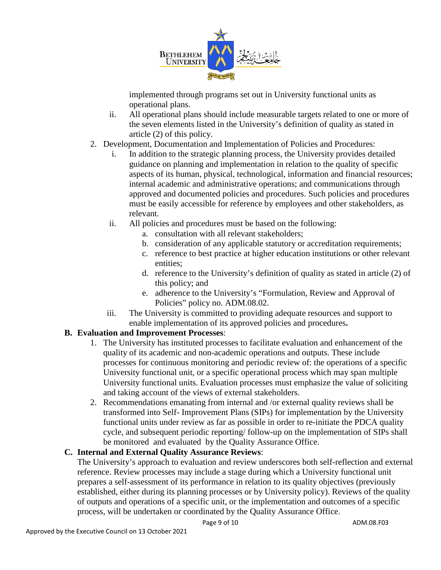

implemented through programs set out in University functional units as operational plans.

- ii. All operational plans should include measurable targets related to one or more of the seven elements listed in the University's definition of quality as stated in article (2) of this policy.
- 2. Development, Documentation and Implementation of Policies and Procedures:
	- i. In addition to the strategic planning process, the University provides detailed guidance on planning and implementation in relation to the quality of specific aspects of its human, physical, technological, information and financial resources; internal academic and administrative operations; and communications through approved and documented policies and procedures. Such policies and procedures must be easily accessible for reference by employees and other stakeholders, as relevant.
	- ii. All policies and procedures must be based on the following:
		- a. consultation with all relevant stakeholders;
		- b. consideration of any applicable statutory or accreditation requirements;
		- c. reference to best practice at higher education institutions or other relevant entities;
		- d. reference to the University's definition of quality as stated in article (2) of this policy; and
		- e. adherence to the University's "Formulation, Review and Approval of Policies" policy no. ADM.08.02.
	- iii. The University is committed to providing adequate resources and support to enable implementation of its approved policies and procedures**.**

## **B. Evaluation and Improvement Processes**:

- 1. The University has instituted processes to facilitate evaluation and enhancement of the quality of its academic and non-academic operations and outputs. These include processes for continuous monitoring and periodic review of: the operations of a specific University functional unit, or a specific operational process which may span multiple University functional units. Evaluation processes must emphasize the value of soliciting and taking account of the views of external stakeholders.
- 2. Recommendations emanating from internal and /or external quality reviews shall be transformed into Self- Improvement Plans (SIPs) for implementation by the University functional units under review as far as possible in order to re-initiate the PDCA quality cycle, and subsequent periodic reporting/ follow-up on the implementation of SIPs shall be monitored and evaluated by the Quality Assurance Office.

## **C. Internal and External Quality Assurance Reviews**:

The University's approach to evaluation and review underscores both self-reflection and external reference. Review processes may include a stage during which a University functional unit prepares a self-assessment of its performance in relation to its quality objectives (previously established, either during its planning processes or by University policy). Reviews of the quality of outputs and operations of a specific unit, or the implementation and outcomes of a specific process, will be undertaken or coordinated by the Quality Assurance Office.